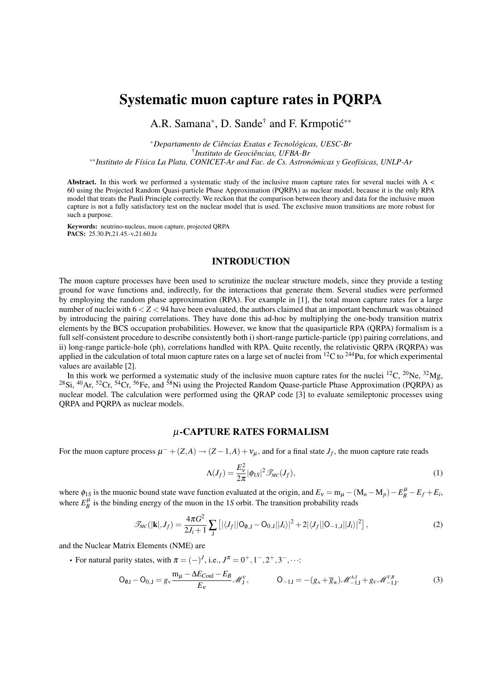# Systematic muon capture rates in PQRPA

A.R. Samana<sup>∗</sup>, D. Sande<sup>†</sup> and F. Krmpotić<sup>\*\*</sup>

<sup>∗</sup>*Departamento de Ciências Exatas e Tecnológicas, UESC-Br* † *Instituto de Geociências, UFBA-Br* ∗∗*Instituto de Física La Plata, CONICET-Ar and Fac. de Cs. Astronómicas y Geofísicas, UNLP-Ar*

Abstract. In this work we performed a systematic study of the inclusive muon capture rates for several nuclei with  $A \leq$ 60 using the Projected Random Quasi-particle Phase Approximation (PQRPA) as nuclear model, because it is the only RPA model that treats the Pauli Principle correctly. We reckon that the comparison between theory and data for the inclusive muon capture is not a fully satisfactory test on the nuclear model that is used. The exclusive muon transitions are more robust for such a purpose.

Keywords: neutrino-nucleus, muon capture, projected QRPA PACS: 25.30.Pt,21.45.-v,21.60.Jz

## INTRODUCTION

The muon capture processes have been used to scrutinize the nuclear structure models, since they provide a testing ground for wave functions and, indirectly, for the interactions that generate them. Several studies were performed by employing the random phase approximation (RPA). For example in [1], the total muon capture rates for a large number of nuclei with 6 < *Z* < 94 have been evaluated, the authors claimed that an important benchmark was obtained by introducing the pairing correlations. They have done this ad-hoc by multiplying the one-body transition matrix elements by the BCS occupation probabilities. However, we know that the quasiparticle RPA (QRPA) formalism is a full self-consistent procedure to describe consistently both i) short-range particle-particle (pp) pairing correlations, and ii) long-range particle-hole (ph), correlations handled with RPA. Quite recently, the relativistic QRPA (RQRPA) was applied in the calculation of total muon capture rates on a large set of nuclei from <sup>12</sup>C to <sup>244</sup>Pu, for which experimental values are available [2].

In this work we performed a systematic study of the inclusive muon capture rates for the nuclei  ${}^{12}C$ ,  ${}^{20}Ne$ ,  ${}^{32}Mg$ , <sup>28</sup>Si, <sup>40</sup>Ar, <sup>52</sup>Cr, <sup>54</sup>Cr, <sup>56</sup>Fe, and <sup>58</sup>Ni using the Projected Random Quase-particle Phase Approximation (PQRPA) as nuclear model. The calculation were performed using the QRAP code [3] to evaluate semileptonic processes using QRPA and PQRPA as nuclear models.

## <sup>µ</sup>-CAPTURE RATES FORMALISM

For the muon capture process  $\mu^- + (Z, A) \to (Z - 1, A) + v_\mu$ , and for a final state  $J_f$ , the muon capture rate reads

$$
\Lambda(J_f) = \frac{E_v^2}{2\pi} |\phi_{1S}|^2 \mathcal{I}_{MC}(J_f),\tag{1}
$$

where  $\phi_{1S}$  is the muonic bound state wave function evaluated at the origin, and  $E_v = m_\mu - (M_n - M_p) - E_B^{\mu} - E_f + E_i$ , where  $E_B^{\mu}$  is the binding energy of the muon in the 1*S* orbit. The transition probability reads

$$
\mathscr{T}_{MC}(|\mathbf{k}|,J_f) = \frac{4\pi G^2}{2J_i+1} \sum_{\mathbf{j}} \left[ |\langle J_f || \mathbf{O}_{\emptyset,\mathbf{j}} - \mathbf{O}_{0,\mathbf{j}} || J_i \rangle|^2 + 2 |\langle J_f || \mathbf{O}_{-1,\mathbf{j}} || J_i \rangle|^2 \right],\tag{2}
$$

and the Nuclear Matrix Elements (NME) are

• For natural parity states, with  $\pi = (-)^J$ , i.e.,  $J^{\pi} = 0^+, 1^-, 2^+, 3^-, \cdots$ 

$$
O_{0J} - O_{0,J} = g_v \frac{m_\mu - \Delta E_{Coul} - E_B}{E_v} \mathcal{M}_J^V, \qquad O_{-1J} = -(g_A + \overline{g}_w) \mathcal{M}_{-1J}^{A,J} + g_v \mathcal{M}_{-1J}^{V,R}.
$$
 (3)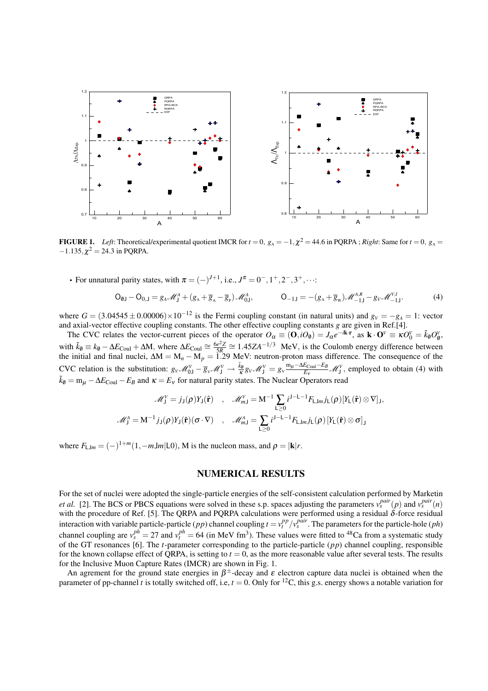

FIGURE 1. *Left*: Theoretical/experimental quotient IMCR for  $t = 0$ ,  $g_A = -1$ ,  $\chi^2 = 44.6$  in PQRPA; *Right*: Same for  $t = 0$ ,  $g_A =$  $-1.135, \chi^2 = 24.3$  in PQRPA.

• For unnatural parity states, with  $\pi = (-)^{J+1}$ , i.e.,  $J^{\pi} = 0^{-}, 1^{+}, 2^{-}, 3^{+}, \cdots$ 

$$
O_{\emptyset J} - O_{0,J} = g_A \mathscr{M}_J^A + (g_A + \overline{g}_A - \overline{g}_P) \mathscr{M}_{0J}^A, \qquad O_{-1J} = -(g_A + \overline{g}_w) \mathscr{M}_{-1J}^{A,R} - g_V \mathscr{M}_{-1J}^{V,I}.
$$
 (4)

where  $G = (3.04545 \pm 0.00006) \times 10^{-12}$  is the Fermi coupling constant (in natural units) and  $g_V = -g_A = 1$ : vector and axial-vector effective coupling constants. The other effective coupling constants *g* are given in Ref.[4].

The CVC relates the vector-current pieces of the operator  $O_\alpha = (\mathbf{0}, iO_\emptyset) = J_\alpha e^{-i\mathbf{k} \cdot \mathbf{r}}$ , as  $\mathbf{k} \cdot \mathbf{O}^\vee \equiv \kappa O_0^\vee = \tilde{k}_\emptyset O_\emptyset^\vee$ , with  $\tilde{k}_\emptyset = k_\emptyset - \Delta E_{\text{Coul}} + \Delta M$ , where  $\Delta E_{\text{Coul}} \cong \frac{6e^2Z}{5R} \cong 1.45ZA^{-1/3}$  MeV, is the Coulomb energy difference between the initial and final nuclei, ∆M = M*<sup>n</sup>* − M*<sup>p</sup>* = 1.29 MeV: neutron-proton mass difference. The consequence of the CVC relation is the substitution:  $g_V \mathcal{M}_{0J}^V - \overline{g}_V \mathcal{M}_{J}^V \rightarrow \frac{\tilde{k}_0}{\kappa} g_V \mathcal{M}_{J}^V = g_V \frac{m_\mu - \Delta E_{Coul} - E_B}{E_V} \mathcal{M}_{J}^V$ , employed to obtain (4) with  $\tilde{k}_\theta = m_\mu - \Delta E_{\text{Coul}} - E_B$  and  $\kappa = E_v$  for natural parity states. The Nuclear Operators read

$$
\mathcal{M}_{J}^{V} = j_{J}(\rho)Y_{J}(\hat{\mathbf{r}}) , \quad \mathcal{M}_{mJ}^{V} = \mathbf{M}^{-1} \sum_{L\geq 0} i^{J-L-1} F_{LJm} j_{L}(\rho) [Y_{L}(\hat{\mathbf{r}}) \otimes \nabla]_{J},
$$
  

$$
\mathcal{M}_{J}^{A} = \mathbf{M}^{-1} j_{J}(\rho) Y_{J}(\hat{\mathbf{r}}) (\sigma \cdot \nabla) , \quad \mathcal{M}_{mJ}^{A} = \sum_{L\geq 0} i^{J-L-1} F_{LJm} j_{L}(\rho) [Y_{L}(\hat{\mathbf{r}}) \otimes \sigma]_{J}
$$

where  $F_{\text{LJ}m} = (-)^{1+m}(1, -m\text{J}m|\text{L}0)$ , M is the nucleon mass, and  $\rho = |\textbf{k}|r$ .

## NUMERICAL RESULTS

For the set of nuclei were adopted the single-particle energies of the self-consistent calculation performed by Marketin *et al.* [2]. The BCS or PBCS equations were solved in these s.p. spaces adjusting the parameters  $v_s^{pair}(p)$  and  $v_s^{pair}(n)$ with the procedure of Ref. [5]. The QRPA and PQRPA calculations were performed using a residual δ-force residual interaction with variable particle-particle (*pp*) channel coupling  $t = v_t^{pp}/v_s^{pair}$ . The parameters for the particle-hole (*ph*) channel coupling are  $v_s^{ph} = 27$  and  $v_t^{ph} = 64$  (in MeV fm<sup>3</sup>). These values were fitted to <sup>48</sup>Ca from a systematic study of the GT resonances [6]. The *t*-parameter corresponding to the particle-particle (*pp*) channel coupling, responsible for the known collapse effect of QRPA, is setting to  $t = 0$ , as the more reasonable value after several tests. The results for the Inclusive Muon Capture Rates (IMCR) are shown in Fig. 1.

An agrement for the ground state energies in  $\beta^{\pm}$ -decay and  $\varepsilon$  electron capture data nuclei is obtained when the parameter of pp-channel *t* is totally switched off, i.e,  $t = 0$ . Only for <sup>12</sup>C, this g.s. energy shows a notable variation for